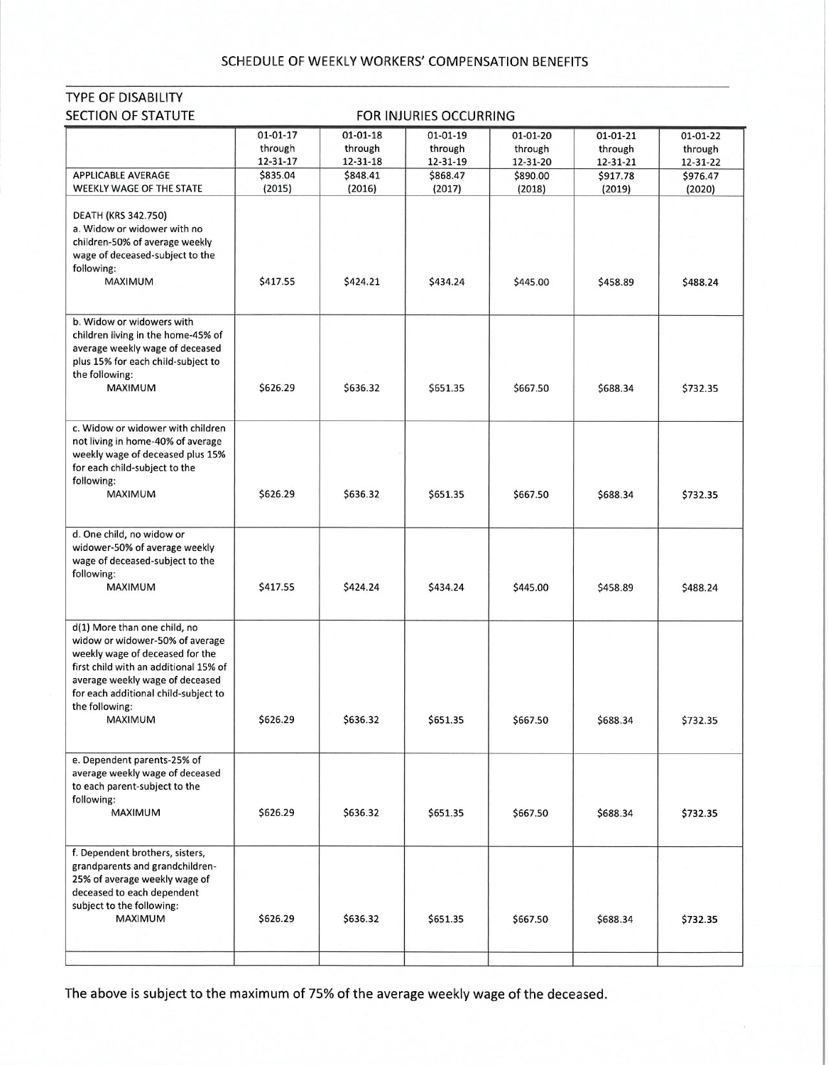## SCHEDULE OF WEEKLY WORKERS' COMPENSATION BENEFITS

TYPE OF DISABILITY

| SECTION OF STATUTE<br>FOR INJURIES OCCURRING                                                                                                                                                                                                        |                                       |                                       |                                 |                                 |                                 |                                 |  |  |  |
|-----------------------------------------------------------------------------------------------------------------------------------------------------------------------------------------------------------------------------------------------------|---------------------------------------|---------------------------------------|---------------------------------|---------------------------------|---------------------------------|---------------------------------|--|--|--|
|                                                                                                                                                                                                                                                     | $01 - 01 - 17$<br>through<br>12-31-17 | $01 - 01 - 18$<br>through<br>12-31-18 | 01-01-19<br>through<br>12-31-19 | 01-01-20<br>through<br>12-31-20 | 01-01-21<br>through<br>12-31-21 | 01-01-22<br>through<br>12-31-22 |  |  |  |
| <b>APPLICABLE AVERAGE</b>                                                                                                                                                                                                                           | \$835.04                              | \$848.41                              | \$868.47                        | \$890.00                        | \$917.78                        | \$976.47                        |  |  |  |
| WEEKLY WAGE OF THE STATE<br>DEATH (KRS 342.750)<br>a. Widow or widower with no<br>children-50% of average weekly<br>wage of deceased-subject to the<br>following:<br><b>MAXIMUM</b>                                                                 | (2015)<br>\$417.55                    | (2016)<br>\$424.21                    | (2017)<br>\$434.24              | (2018)<br>\$445.00              | (2019)<br>\$458.89              | (2020)<br>\$488.24              |  |  |  |
| b. Widow or widowers with<br>children living in the home-45% of<br>average weekly wage of deceased<br>plus 15% for each child-subject to<br>the following:<br>MAXIMUM                                                                               | \$626.29                              | \$636.32                              | \$651.35                        | \$667.50                        | \$688.34                        | \$732.35                        |  |  |  |
| c. Widow or widower with children<br>not living in home-40% of average<br>weekly wage of deceased plus 15%<br>for each child-subject to the<br>following:<br><b>MAXIMUM</b>                                                                         | \$626.29                              | \$636.32                              | \$651.35                        | \$667.50                        | \$688.34                        | \$732.35                        |  |  |  |
| d. One child, no widow or<br>widower-50% of average weekly<br>wage of deceased-subject to the<br>following:<br>MAXIMUM                                                                                                                              | \$417.55                              | \$424.24                              | \$434.24                        | \$445.00                        | \$458.89                        | \$488.24                        |  |  |  |
| d(1) More than one child, no<br>widow or widower-50% of average<br>weekly wage of deceased for the<br>first child with an additional 15% of<br>average weekly wage of deceased<br>for each additional child-subject to<br>the following:<br>MAXIMUM | \$626.29                              | \$636.32                              | \$651.35                        | \$667.50                        | \$688.34                        | \$732.35                        |  |  |  |
| e. Dependent parents-25% of<br>average weekly wage of deceased<br>to each parent-subject to the<br>following:<br>MAXIMUM                                                                                                                            | \$626.29                              | \$636.32                              | \$651.35                        | \$667.50                        | \$688.34                        | \$732.35                        |  |  |  |
| f. Dependent brothers, sisters,<br>grandparents and grandchildren-<br>25% of average weekly wage of<br>deceased to each dependent<br>subject to the following:<br><b>MAXIMUM</b>                                                                    | \$626.29                              | \$636.32                              | \$651.35                        | \$667.50                        | \$688.34                        | \$732.35                        |  |  |  |
|                                                                                                                                                                                                                                                     |                                       |                                       |                                 |                                 |                                 |                                 |  |  |  |

## The above is subject to the maximum of 75% of the average weekly wage of the deceased.